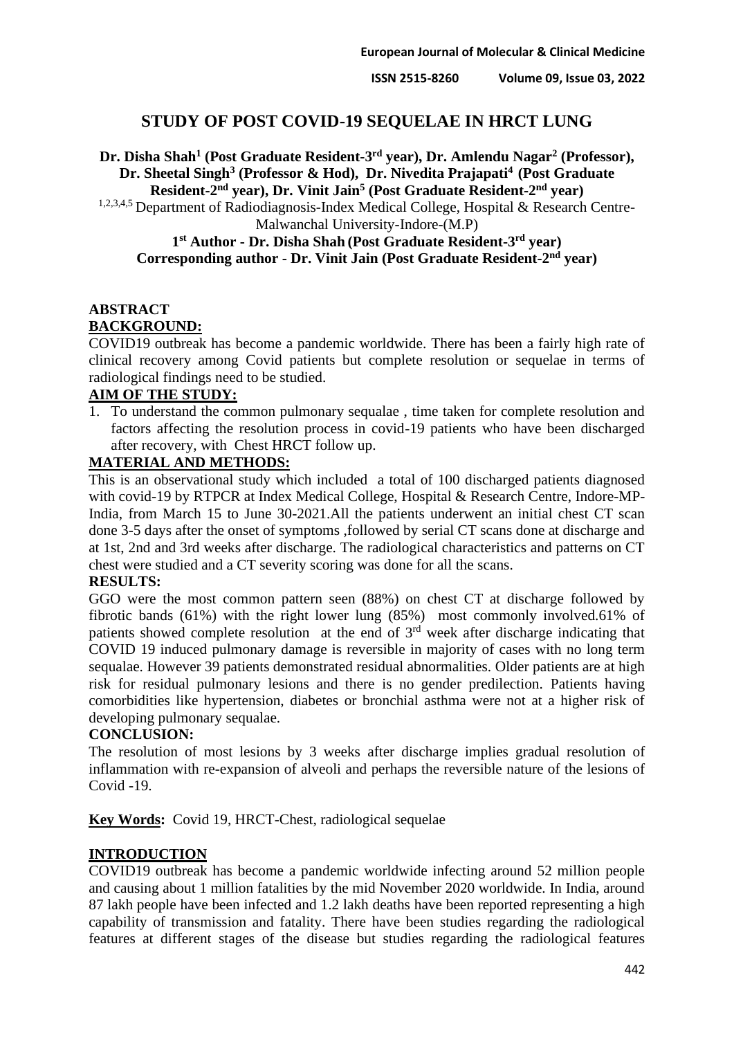# **STUDY OF POST COVID-19 SEQUELAE IN HRCT LUNG**

Dr. Disha Shah<sup>1</sup> (Post Graduate Resident-3<sup>rd</sup> year), Dr. Amlendu Nagar<sup>2</sup> (Professor), **Dr. Sheetal Singh<sup>3</sup> (Professor & Hod), Dr. Nivedita Prajapati<sup>4</sup>(Post Graduate Resident-2 nd year), Dr. Vinit Jain<sup>5</sup> (Post Graduate Resident-2 nd year)**

1,2,3,4,5 Department of Radiodiagnosis-Index Medical College, Hospital & Research Centre-Malwanchal University-Indore-(M.P)

## **1 st Author - Dr. Disha Shah (Post Graduate Resident-3 rd year) Corresponding author - Dr. Vinit Jain (Post Graduate Resident-2 nd year)**

# **ABSTRACT BACKGROUND:**

COVID19 outbreak has become a pandemic worldwide. There has been a fairly high rate of clinical recovery among Covid patients but complete resolution or sequelae in terms of radiological findings need to be studied.

## **AIM OF THE STUDY:**

1. To understand the common pulmonary sequalae , time taken for complete resolution and factors affecting the resolution process in covid-19 patients who have been discharged after recovery, with Chest HRCT follow up.

### **MATERIAL AND METHODS:**

This is an observational study which included a total of 100 discharged patients diagnosed with covid-19 by RTPCR at Index Medical College, Hospital & Research Centre, Indore-MP-India, from March 15 to June 30-2021.All the patients underwent an initial chest CT scan done 3-5 days after the onset of symptoms ,followed by serial CT scans done at discharge and at 1st, 2nd and 3rd weeks after discharge. The radiological characteristics and patterns on CT chest were studied and a CT severity scoring was done for all the scans.

### **RESULTS:**

GGO were the most common pattern seen (88%) on chest CT at discharge followed by fibrotic bands (61%) with the right lower lung (85%) most commonly involved.61% of patients showed complete resolution at the end of  $3<sup>rd</sup>$  week after discharge indicating that COVID 19 induced pulmonary damage is reversible in majority of cases with no long term sequalae. However 39 patients demonstrated residual abnormalities. Older patients are at high risk for residual pulmonary lesions and there is no gender predilection. Patients having comorbidities like hypertension, diabetes or bronchial asthma were not at a higher risk of developing pulmonary sequalae.

## **CONCLUSION:**

The resolution of most lesions by 3 weeks after discharge implies gradual resolution of inflammation with re-expansion of alveoli and perhaps the reversible nature of the lesions of Covid -19.

**Key Words:** Covid 19, HRCT-Chest, radiological sequelae

### **INTRODUCTION**

COVID19 outbreak has become a pandemic worldwide infecting around 52 million people and causing about 1 million fatalities by the mid November 2020 worldwide. In India, around 87 lakh people have been infected and 1.2 lakh deaths have been reported representing a high capability of transmission and fatality. There have been studies regarding the radiological features at different stages of the disease but studies regarding the radiological features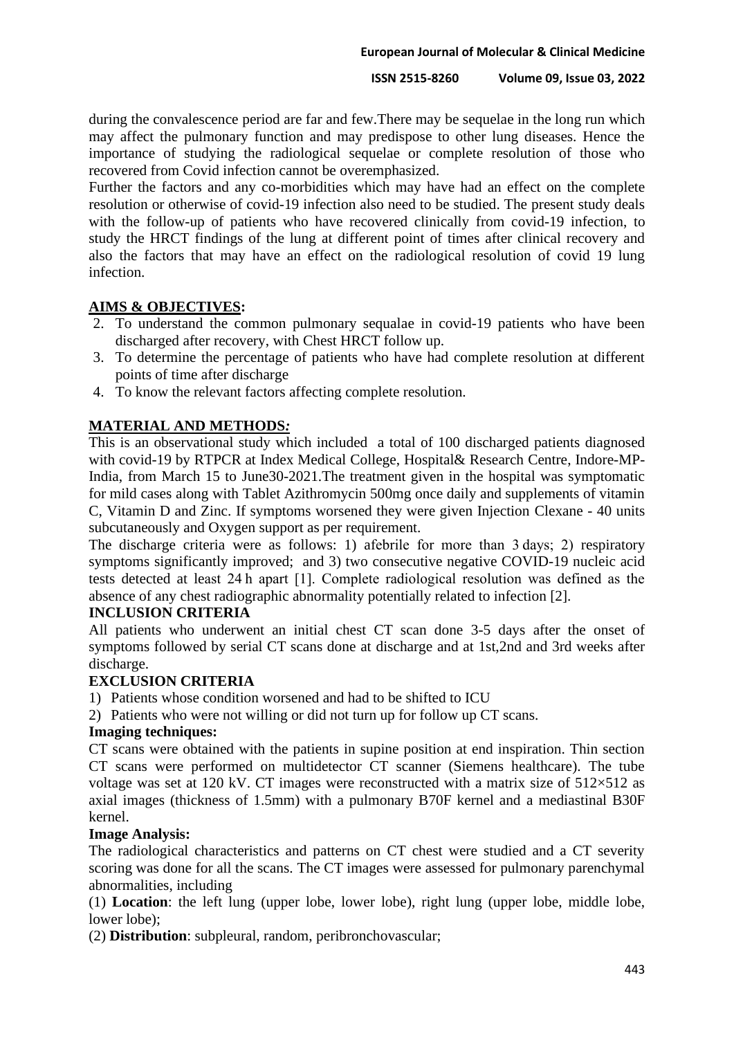during the convalescence period are far and few.There may be sequelae in the long run which may affect the pulmonary function and may predispose to other lung diseases. Hence the importance of studying the radiological sequelae or complete resolution of those who recovered from Covid infection cannot be overemphasized.

Further the factors and any co-morbidities which may have had an effect on the complete resolution or otherwise of covid-19 infection also need to be studied. The present study deals with the follow-up of patients who have recovered clinically from covid-19 infection, to study the HRCT findings of the lung at different point of times after clinical recovery and also the factors that may have an effect on the radiological resolution of covid 19 lung infection.

## **AIMS & OBJECTIVES:**

- 2. To understand the common pulmonary sequalae in covid-19 patients who have been discharged after recovery, with Chest HRCT follow up.
- 3. To determine the percentage of patients who have had complete resolution at different points of time after discharge
- 4. To know the relevant factors affecting complete resolution.

# **MATERIAL AND METHODS***:*

This is an observational study which included a total of 100 discharged patients diagnosed with covid-19 by RTPCR at Index Medical College, Hospital& Research Centre, Indore-MP-India, from March 15 to June30-2021.The treatment given in the hospital was symptomatic for mild cases along with Tablet Azithromycin 500mg once daily and supplements of vitamin C, Vitamin D and Zinc. If symptoms worsened they were given Injection Clexane - 40 units subcutaneously and Oxygen support as per requirement.

The discharge criteria were as follows: 1) afebrile for more than 3 days; 2) respiratory symptoms significantly improved; and 3) two consecutive negative COVID-19 nucleic acid tests detected at least 24 h apart [1]. Complete radiological resolution was defined as the absence of any chest radiographic abnormality potentially related to infection [2].

### **INCLUSION CRITERIA**

All patients who underwent an initial chest CT scan done 3-5 days after the onset of symptoms followed by serial CT scans done at discharge and at 1st,2nd and 3rd weeks after discharge.

## **EXCLUSION CRITERIA**

1) Patients whose condition worsened and had to be shifted to ICU

2) Patients who were not willing or did not turn up for follow up CT scans.

### **Imaging techniques:**

CT scans were obtained with the patients in supine position at end inspiration. Thin section CT scans were performed on multidetector CT scanner (Siemens healthcare). The tube voltage was set at 120 kV. CT images were reconstructed with a matrix size of  $512\times512$  as axial images (thickness of 1.5mm) with a pulmonary B70F kernel and a mediastinal B30F kernel.

### **Image Analysis:**

The radiological characteristics and patterns on CT chest were studied and a CT severity scoring was done for all the scans. The CT images were assessed for pulmonary parenchymal abnormalities, including

(1) **Location**: the left lung (upper lobe, lower lobe), right lung (upper lobe, middle lobe, lower lobe);

(2) **Distribution**: subpleural, random, peribronchovascular;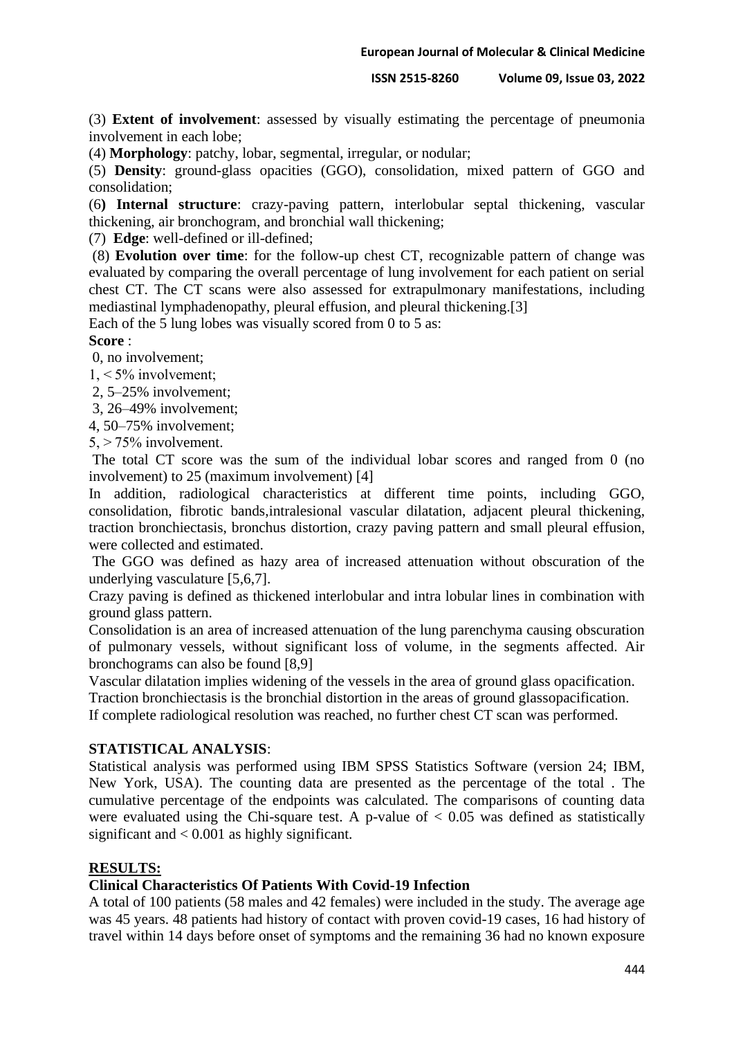(3) **Extent of involvement**: assessed by visually estimating the percentage of pneumonia involvement in each lobe;

(4) **Morphology**: patchy, lobar, segmental, irregular, or nodular;

(5) **Density**: ground-glass opacities (GGO), consolidation, mixed pattern of GGO and consolidation;

(6**) Internal structure**: crazy-paving pattern, interlobular septal thickening, vascular thickening, air bronchogram, and bronchial wall thickening;

(7) **Edge**: well-defined or ill-defined;

(8) **Evolution over time**: for the follow-up chest CT, recognizable pattern of change was evaluated by comparing the overall percentage of lung involvement for each patient on serial chest CT. The CT scans were also assessed for extrapulmonary manifestations, including mediastinal lymphadenopathy, pleural effusion, and pleural thickening.[3]

Each of the 5 lung lobes was visually scored from 0 to 5 as:

## **Score** :

0, no involvement;

1, < 5% involvement;

2, 5–25% involvement;

3, 26–49% involvement;

4, 50–75% involvement;

 $5. > 75\%$  involvement.

The total CT score was the sum of the individual lobar scores and ranged from 0 (no involvement) to 25 (maximum involvement) [4]

In addition, radiological characteristics at different time points, including GGO, consolidation, fibrotic bands,intralesional vascular dilatation, adjacent pleural thickening, traction bronchiectasis, bronchus distortion, crazy paving pattern and small pleural effusion, were collected and estimated.

The GGO was defined as hazy area of increased attenuation without obscuration of the underlying vasculature [5,6,7].

Crazy paving is defined as thickened interlobular and intra lobular lines in combination with ground glass pattern.

Consolidation is an area of increased attenuation of the lung parenchyma causing obscuration of pulmonary vessels, without significant loss of volume, in the segments affected. Air bronchograms can also be found [8,9]

Vascular dilatation implies widening of the vessels in the area of ground glass opacification.

Traction bronchiectasis is the bronchial distortion in the areas of ground glassopacification.

If complete radiological resolution was reached, no further chest CT scan was performed.

## **STATISTICAL ANALYSIS**:

Statistical analysis was performed using IBM SPSS Statistics Software (version 24; IBM, New York, USA). The counting data are presented as the percentage of the total . The cumulative percentage of the endpoints was calculated. The comparisons of counting data were evaluated using the Chi-square test. A p-value of  $< 0.05$  was defined as statistically significant and  $< 0.001$  as highly significant.

## **RESULTS:**

### **Clinical Characteristics Of Patients With Covid-19 Infection**

A total of 100 patients (58 males and 42 females) were included in the study. The average age was 45 years. 48 patients had history of contact with proven covid-19 cases, 16 had history of travel within 14 days before onset of symptoms and the remaining 36 had no known exposure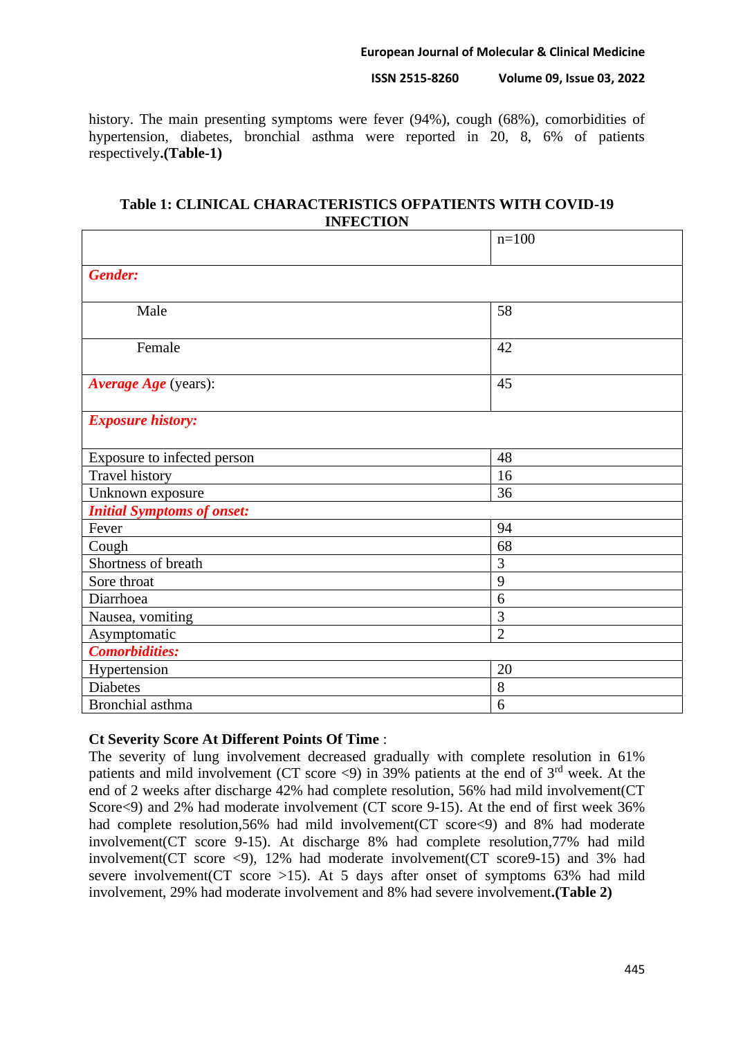**European Journal of Molecular & Clinical Medicine**

**ISSN 2515-8260 Volume 09, Issue 03, 2022**

history. The main presenting symptoms were fever (94%), cough (68%), comorbidities of hypertension, diabetes, bronchial asthma were reported in 20, 8, 6% of patients respectively**.(Table-1)**

## **Table 1: CLINICAL CHARACTERISTICS OFPATIENTS WITH COVID-19 INFECTION**

|                                   | $n=100$        |
|-----------------------------------|----------------|
| <b>Gender:</b>                    |                |
| Male                              | 58             |
| Female                            | 42             |
| Average Age (years):              | 45             |
| <b>Exposure history:</b>          |                |
| Exposure to infected person       | 48             |
| <b>Travel history</b>             | 16             |
| Unknown exposure                  | 36             |
| <b>Initial Symptoms of onset:</b> |                |
| Fever                             | 94             |
| Cough                             | 68             |
| Shortness of breath               | 3              |
| Sore throat                       | 9              |
| Diarrhoea                         | 6              |
| Nausea, vomiting                  | 3              |
| Asymptomatic                      | $\overline{2}$ |
| <b>Comorbidities:</b>             |                |
| Hypertension                      | 20             |
| <b>Diabetes</b>                   | $8\,$          |
| Bronchial asthma                  | 6              |

## **Ct Severity Score At Different Points Of Time** :

The severity of lung involvement decreased gradually with complete resolution in 61% patients and mild involvement (CT score  $\langle 9 \rangle$  in 39% patients at the end of 3<sup>rd</sup> week. At the end of 2 weeks after discharge 42% had complete resolution, 56% had mild involvement(CT Score<9) and 2% had moderate involvement (CT score 9-15). At the end of first week 36% had complete resolution, 56% had mild involvement (CT score <9) and 8% had moderate involvement(CT score 9-15). At discharge 8% had complete resolution,77% had mild involvement(CT score <9), 12% had moderate involvement(CT score9-15) and 3% had severe involvement (CT score  $>15$ ). At 5 days after onset of symptoms 63% had mild involvement, 29% had moderate involvement and 8% had severe involvement**.(Table 2)**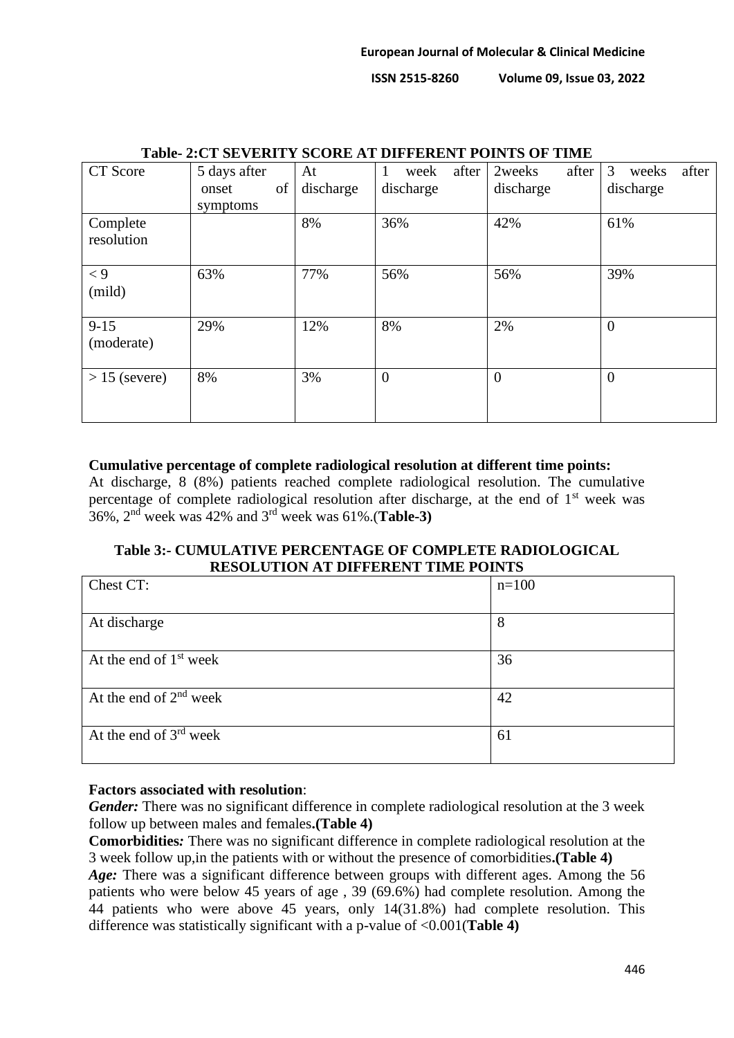| TADIC- 2.CT SEVENITT SCONE AT DIFFENENT I OINTS OF TIME |              |           |                    |                 |                     |
|---------------------------------------------------------|--------------|-----------|--------------------|-----------------|---------------------|
| CT Score                                                | 5 days after | At        | after<br>week<br>1 | 2weeks<br>after | 3<br>after<br>weeks |
|                                                         | of<br>onset  | discharge | discharge          | discharge       | discharge           |
|                                                         | symptoms     |           |                    |                 |                     |
| Complete<br>resolution                                  |              | 8%        | 36%                | 42%             | 61%                 |
| $\lt 9$<br>(mild)                                       | 63%          | 77%       | 56%                | 56%             | 39%                 |
| $9 - 15$<br>(moderate)                                  | 29%          | 12%       | 8%                 | 2%              | $\theta$            |
| $> 15$ (severe)                                         | 8%           | 3%        | $\overline{0}$     | $\theta$        | $\overline{0}$      |

# **Table- 2:CT SEVERITY SCORE AT DIFFERENT POINTS OF TIME**

### **Cumulative percentage of complete radiological resolution at different time points:**

At discharge, 8 (8%) patients reached complete radiological resolution. The cumulative percentage of complete radiological resolution after discharge, at the end of  $1<sup>st</sup>$  week was 36%, 2nd week was 42% and 3rd week was 61%.(**Table-3)**

# **Table 3:- CUMULATIVE PERCENTAGE OF COMPLETE RADIOLOGICAL RESOLUTION AT DIFFERENT TIME POINTS**

| Chest CT:                | $n=100$ |
|--------------------------|---------|
|                          |         |
| At discharge             | 8       |
|                          |         |
| At the end of $1st$ week | 36      |
|                          |         |
| At the end of $2nd$ week | 42      |
|                          |         |
| At the end of $3rd$ week | 61      |
|                          |         |

## **Factors associated with resolution**:

*Gender:* There was no significant difference in complete radiological resolution at the 3 week follow up between males and females**.(Table 4)**

**Comorbidities***:* There was no significant difference in complete radiological resolution at the 3 week follow up,in the patients with or without the presence of comorbidities**.(Table 4)**

*Age:* There was a significant difference between groups with different ages. Among the 56 patients who were below 45 years of age , 39 (69.6%) had complete resolution. Among the 44 patients who were above 45 years, only 14(31.8%) had complete resolution. This difference was statistically significant with a p-value of <0.001(**Table 4)**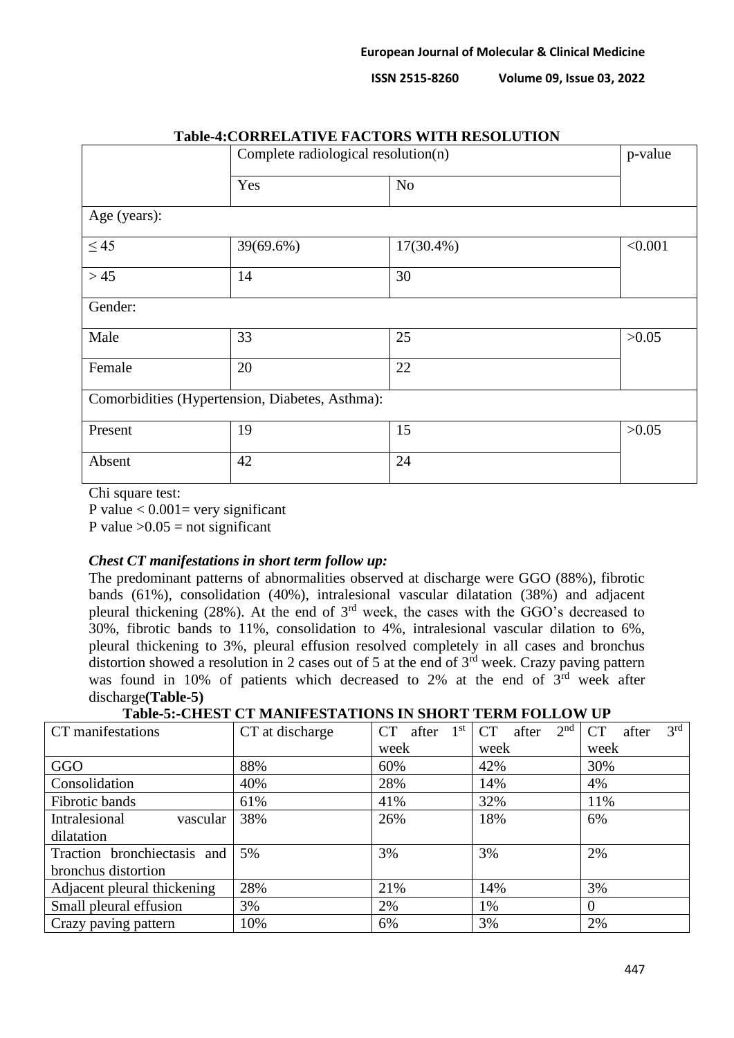**ISSN 2515-8260** 

| <b>Volume 09, Issue 03, 2022</b> |  |  |
|----------------------------------|--|--|
|----------------------------------|--|--|

|              |                                                 | Table-4.COMMEDIATIVE FIXCTOND WITH NEDOLIUTION<br>Complete radiological resolution(n) |         |
|--------------|-------------------------------------------------|---------------------------------------------------------------------------------------|---------|
|              | Yes                                             | No                                                                                    |         |
| Age (years): |                                                 |                                                                                       |         |
| $\leq 45$    | 39(69.6%)                                       | $17(30.4\%)$                                                                          | < 0.001 |
| $>45$        | 14                                              | 30                                                                                    |         |
| Gender:      |                                                 |                                                                                       |         |
| Male         | 33                                              | 25                                                                                    | >0.05   |
| Female       | 20                                              | 22                                                                                    |         |
|              | Comorbidities (Hypertension, Diabetes, Asthma): |                                                                                       |         |
| Present      | 19                                              | 15                                                                                    | >0.05   |
| Absent       | 42                                              | 24                                                                                    |         |

# **Table-4:CORRELATIVE FACTORS WITH RESOLUTION**

Chi square test:

P value  $< 0.001$  = very significant

P value  $>0.05$  = not significant

### *Chest CT manifestations in short term follow up:*

The predominant patterns of abnormalities observed at discharge were GGO (88%), fibrotic bands (61%), consolidation (40%), intralesional vascular dilatation (38%) and adjacent pleural thickening (28%). At the end of 3rd week, the cases with the GGO's decreased to 30%, fibrotic bands to 11%, consolidation to 4%, intralesional vascular dilation to 6%, pleural thickening to 3%, pleural effusion resolved completely in all cases and bronchus distortion showed a resolution in 2 cases out of 5 at the end of  $3<sup>rd</sup>$  week. Crazy paving pattern was found in 10% of patients which decreased to 2% at the end of 3<sup>rd</sup> week after discharge**(Table-5)**

**Table-5:-CHEST CT MANIFESTATIONS IN SHORT TERM FOLLOW UP**

| CT manifestations           | CT at discharge | 1 <sup>st</sup><br><b>CT</b><br>after | 2 <sup>nd</sup><br><b>CT</b><br>after | 3 <sup>rd</sup><br><b>CT</b><br>after |
|-----------------------------|-----------------|---------------------------------------|---------------------------------------|---------------------------------------|
|                             |                 | week                                  | week                                  | week                                  |
| GGO                         | 88%             | 60%                                   | 42%                                   | 30%                                   |
| Consolidation               | 40%             | 28%                                   | 14%                                   | 4%                                    |
| Fibrotic bands              | 61%             | 41%                                   | 32%                                   | 11%                                   |
| Intralesional<br>vascular   | 38%             | 26%                                   | 18%                                   | 6%                                    |
| dilatation                  |                 |                                       |                                       |                                       |
| Traction bronchiectasis and | 5%              | 3%                                    | 3%                                    | 2%                                    |
| bronchus distortion         |                 |                                       |                                       |                                       |
| Adjacent pleural thickening | 28%             | 21%                                   | 14%                                   | 3%                                    |
| Small pleural effusion      | 3%              | 2%                                    | 1%                                    | $\theta$                              |
| Crazy paving pattern        | 10%             | 6%                                    | 3%                                    | 2%                                    |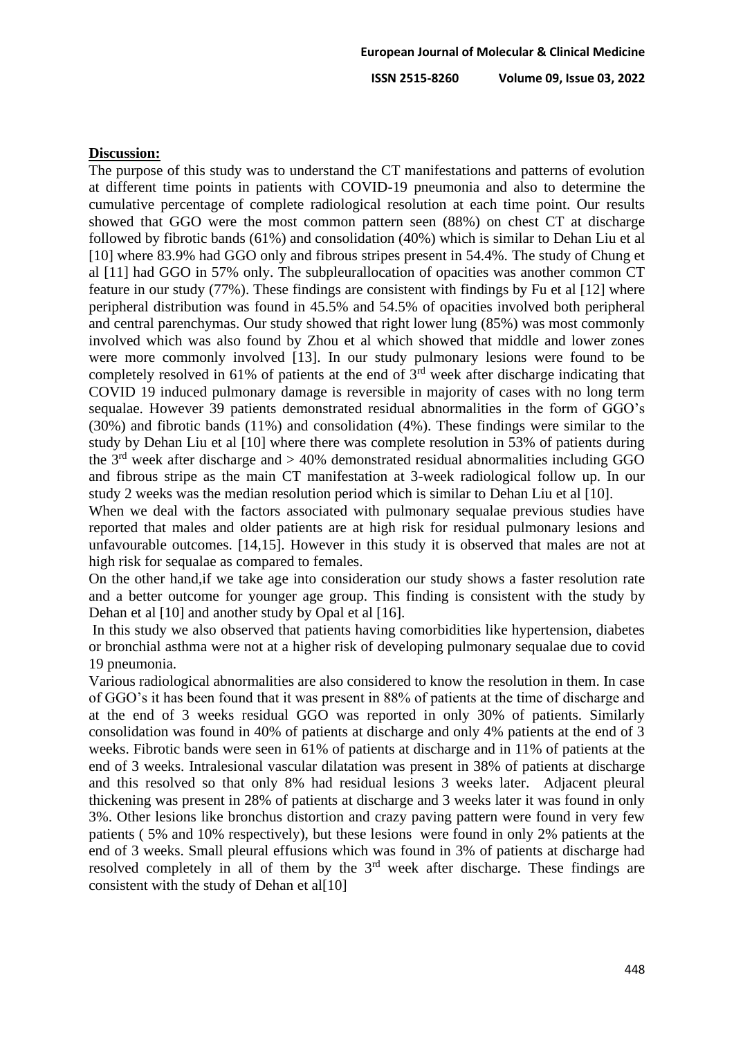### **Discussion:**

The purpose of this study was to understand the CT manifestations and patterns of evolution at different time points in patients with COVID-19 pneumonia and also to determine the cumulative percentage of complete radiological resolution at each time point. Our results showed that GGO were the most common pattern seen (88%) on chest CT at discharge followed by fibrotic bands (61%) and consolidation (40%) which is similar to Dehan Liu et al [10] where 83.9% had GGO only and fibrous stripes present in 54.4%. The study of Chung et al [11] had GGO in 57% only. The subpleurallocation of opacities was another common CT feature in our study (77%). These findings are consistent with findings by Fu et al [12] where peripheral distribution was found in 45.5% and 54.5% of opacities involved both peripheral and central parenchymas. Our study showed that right lower lung (85%) was most commonly involved which was also found by Zhou et al which showed that middle and lower zones were more commonly involved [13]. In our study pulmonary lesions were found to be completely resolved in 61% of patients at the end of  $3<sup>rd</sup>$  week after discharge indicating that COVID 19 induced pulmonary damage is reversible in majority of cases with no long term sequalae. However 39 patients demonstrated residual abnormalities in the form of GGO's (30%) and fibrotic bands (11%) and consolidation (4%). These findings were similar to the study by Dehan Liu et al [10] where there was complete resolution in 53% of patients during the  $3<sup>rd</sup>$  week after discharge and  $> 40\%$  demonstrated residual abnormalities including GGO and fibrous stripe as the main CT manifestation at 3-week radiological follow up. In our study 2 weeks was the median resolution period which is similar to Dehan Liu et al [10].

When we deal with the factors associated with pulmonary sequalae previous studies have reported that males and older patients are at high risk for residual pulmonary lesions and unfavourable outcomes. [14,15]. However in this study it is observed that males are not at high risk for sequalae as compared to females.

On the other hand,if we take age into consideration our study shows a faster resolution rate and a better outcome for younger age group. This finding is consistent with the study by Dehan et al [10] and another study by Opal et al [16].

In this study we also observed that patients having comorbidities like hypertension, diabetes or bronchial asthma were not at a higher risk of developing pulmonary sequalae due to covid 19 pneumonia.

Various radiological abnormalities are also considered to know the resolution in them. In case of GGO's it has been found that it was present in 88% of patients at the time of discharge and at the end of 3 weeks residual GGO was reported in only 30% of patients. Similarly consolidation was found in 40% of patients at discharge and only 4% patients at the end of 3 weeks. Fibrotic bands were seen in 61% of patients at discharge and in 11% of patients at the end of 3 weeks. Intralesional vascular dilatation was present in 38% of patients at discharge and this resolved so that only 8% had residual lesions 3 weeks later. Adjacent pleural thickening was present in 28% of patients at discharge and 3 weeks later it was found in only 3%. Other lesions like bronchus distortion and crazy paving pattern were found in very few patients ( 5% and 10% respectively), but these lesions were found in only 2% patients at the end of 3 weeks. Small pleural effusions which was found in 3% of patients at discharge had resolved completely in all of them by the 3<sup>rd</sup> week after discharge. These findings are consistent with the study of Dehan et al[10]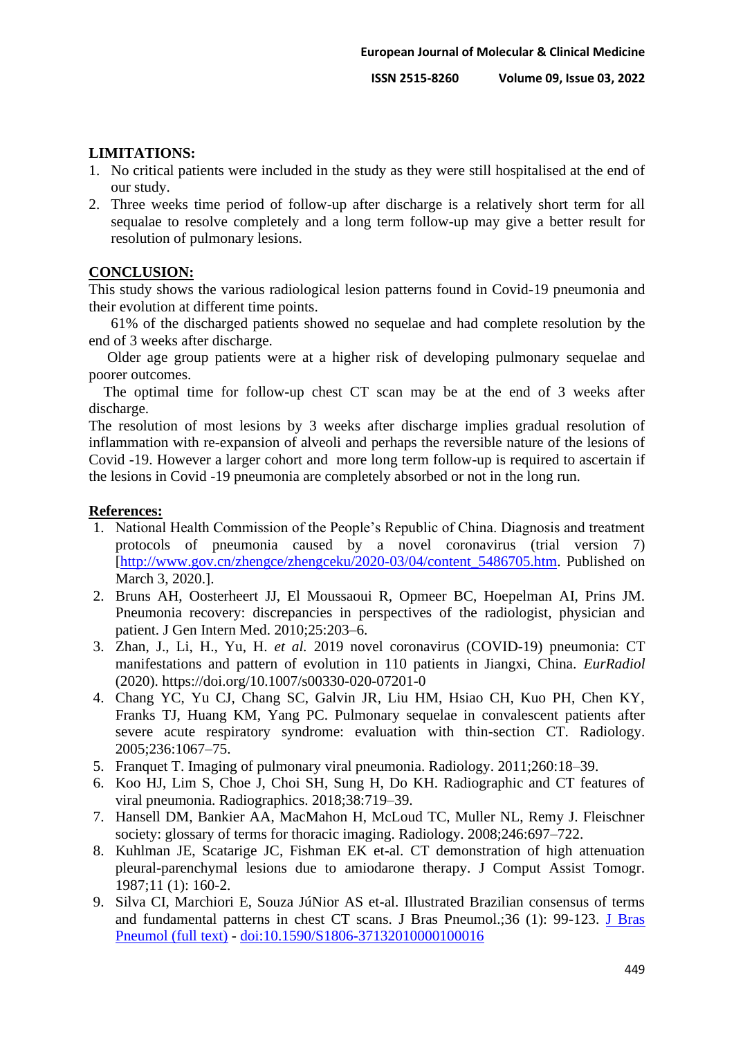## **LIMITATIONS:**

- 1. No critical patients were included in the study as they were still hospitalised at the end of our study.
- 2. Three weeks time period of follow-up after discharge is a relatively short term for all sequalae to resolve completely and a long term follow-up may give a better result for resolution of pulmonary lesions.

## **CONCLUSION:**

This study shows the various radiological lesion patterns found in Covid-19 pneumonia and their evolution at different time points.

 61% of the discharged patients showed no sequelae and had complete resolution by the end of 3 weeks after discharge.

 Older age group patients were at a higher risk of developing pulmonary sequelae and poorer outcomes.

 The optimal time for follow-up chest CT scan may be at the end of 3 weeks after discharge.

The resolution of most lesions by 3 weeks after discharge implies gradual resolution of inflammation with re-expansion of alveoli and perhaps the reversible nature of the lesions of Covid -19. However a larger cohort and more long term follow-up is required to ascertain if the lesions in Covid -19 pneumonia are completely absorbed or not in the long run.

## **References:**

- 1. National Health Commission of the People's Republic of China. Diagnosis and treatment protocols of pneumonia caused by a novel coronavirus (trial version 7) [\[http://www.gov.cn/zhengce/zhengceku/2020-03/04/content\\_5486705.htm.](http://www.gov.cn/zhengce/zhengceku/2020-03/04/content_5486705.htm) Published on March 3, 2020.].
- 2. Bruns AH, Oosterheert JJ, El Moussaoui R, Opmeer BC, Hoepelman AI, Prins JM. Pneumonia recovery: discrepancies in perspectives of the radiologist, physician and patient. J Gen Intern Med. 2010;25:203–6.
- 3. Zhan, J., Li, H., Yu, H. *et al.* 2019 novel coronavirus (COVID-19) pneumonia: CT manifestations and pattern of evolution in 110 patients in Jiangxi, China. *EurRadiol* (2020). https://doi.org/10.1007/s00330-020-07201-0
- 4. Chang YC, Yu CJ, Chang SC, Galvin JR, Liu HM, Hsiao CH, Kuo PH, Chen KY, Franks TJ, Huang KM, Yang PC. Pulmonary sequelae in convalescent patients after severe acute respiratory syndrome: evaluation with thin-section CT. Radiology. 2005;236:1067–75.
- 5. Franquet T. Imaging of pulmonary viral pneumonia. Radiology. 2011;260:18–39.
- 6. Koo HJ, Lim S, Choe J, Choi SH, Sung H, Do KH. Radiographic and CT features of viral pneumonia. Radiographics. 2018;38:719–39.
- 7. Hansell DM, Bankier AA, MacMahon H, McLoud TC, Muller NL, Remy J. Fleischner society: glossary of terms for thoracic imaging. Radiology. 2008;246:697–722.
- 8. Kuhlman JE, Scatarige JC, Fishman EK et-al. CT demonstration of high attenuation pleural-parenchymal lesions due to amiodarone therapy. J Comput Assist Tomogr. 1987;11 (1): 160-2.
- 9. Silva CI, Marchiori E, Souza JúNior AS et-al. Illustrated Brazilian consensus of terms and fundamental patterns in chest CT scans. J Bras Pneumol.;36 (1): 99-123. [J Bras](http://www.scielo.br/scielo.php?script=sci_arttext&pid=S1806-37132010000100016&lng=pt&nrm=iso&tlng=pt)  [Pneumol \(full text\)](http://www.scielo.br/scielo.php?script=sci_arttext&pid=S1806-37132010000100016&lng=pt&nrm=iso&tlng=pt) - [doi:10.1590/S1806-37132010000100016](http://dx.doi.org/10.1590/S1806-37132010000100016)